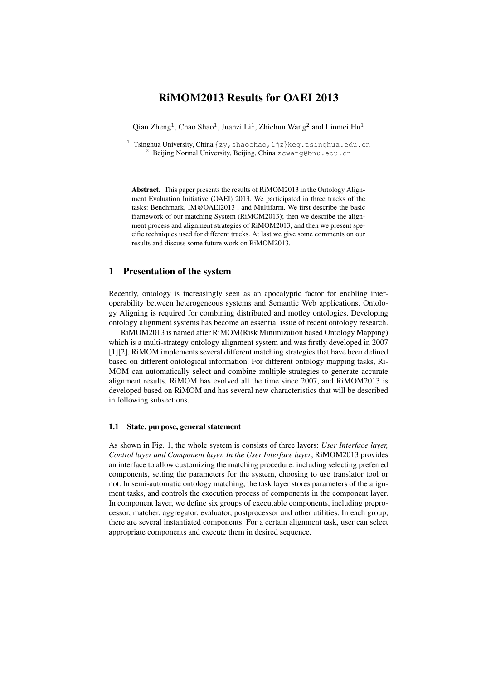# RiMOM2013 Results for OAEI 2013

Qian Zheng<sup>1</sup>, Chao Shao<sup>1</sup>, Juanzi Li<sup>1</sup>, Zhichun Wang<sup>2</sup> and Linmei Hu<sup>1</sup>

<sup>1</sup> Tsinghua University, China {zy, shaochao, ljz}keg.tsinghua.edu.cn Beijing Normal University, Beijing, China zcwang@bnu.edu.cn

Abstract. This paper presents the results of RiMOM2013 in the Ontology Alignment Evaluation Initiative (OAEI) 2013. We participated in three tracks of the tasks: Benchmark, IM@OAEI2013 , and Multifarm. We first describe the basic framework of our matching System (RiMOM2013); then we describe the alignment process and alignment strategies of RiMOM2013, and then we present specific techniques used for different tracks. At last we give some comments on our results and discuss some future work on RiMOM2013.

## 1 Presentation of the system

Recently, ontology is increasingly seen as an apocalyptic factor for enabling interoperability between heterogeneous systems and Semantic Web applications. Ontology Aligning is required for combining distributed and motley ontologies. Developing ontology alignment systems has become an essential issue of recent ontology research.

RiMOM2013 is named after RiMOM(Risk Minimization based Ontology Mapping) which is a multi-strategy ontology alignment system and was firstly developed in 2007 [1][2]. RiMOM implements several different matching strategies that have been defined based on different ontological information. For different ontology mapping tasks, Ri-MOM can automatically select and combine multiple strategies to generate accurate alignment results. RiMOM has evolved all the time since 2007, and RiMOM2013 is developed based on RiMOM and has several new characteristics that will be described in following subsections.

### 1.1 State, purpose, general statement

As shown in Fig. 1, the whole system is consists of three layers: *User Interface layer, Control layer and Component layer. In the User Interface layer*, RiMOM2013 provides an interface to allow customizing the matching procedure: including selecting preferred components, setting the parameters for the system, choosing to use translator tool or not. In semi-automatic ontology matching, the task layer stores parameters of the alignment tasks, and controls the execution process of components in the component layer. In component layer, we define six groups of executable components, including preprocessor, matcher, aggregator, evaluator, postprocessor and other utilities. In each group, there are several instantiated components. For a certain alignment task, user can select appropriate components and execute them in desired sequence.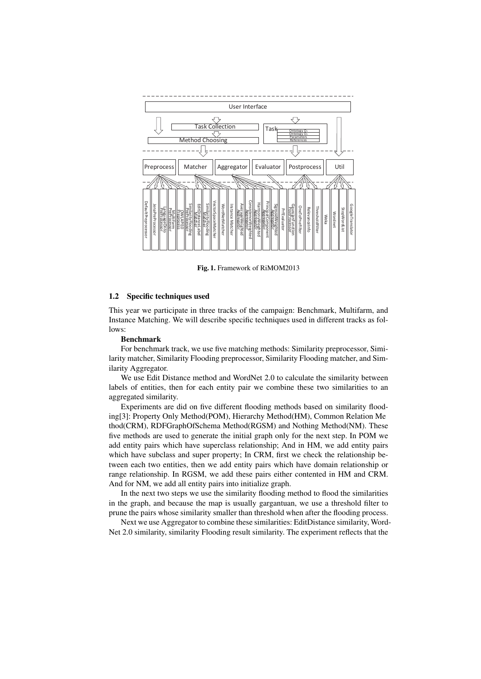

Fig. 1. Framework of RiMOM2013

#### 1.2 Specific techniques used

This year we participate in three tracks of the campaign: Benchmark, Multifarm, and Instance Matching. We will describe specific techniques used in different tracks as follows:

#### Benchmark

For benchmark track, we use five matching methods: Similarity preprocessor, Similarity matcher, Similarity Flooding preprocessor, Similarity Flooding matcher, and Similarity Aggregator.

We use Edit Distance method and WordNet 2.0 to calculate the similarity between labels of entities, then for each entity pair we combine these two similarities to an aggregated similarity.

Experiments are did on five different flooding methods based on similarity flooding[3]: Property Only Method(POM), Hierarchy Method(HM), Common Relation Me thod(CRM), RDFGraphOfSchema Method(RGSM) and Nothing Method(NM). These five methods are used to generate the initial graph only for the next step. In POM we add entity pairs which have superclass relationship; And in HM, we add entity pairs which have subclass and super property; In CRM, first we check the relationship between each two entities, then we add entity pairs which have domain relationship or range relationship. In RGSM, we add these pairs either contented in HM and CRM. And for NM, we add all entity pairs into initialize graph.

In the next two steps we use the similarity flooding method to flood the similarities in the graph, and because the map is usually gargantuan, we use a threshold filter to prune the pairs whose similarity smaller than threshold when after the flooding process.

Next we use Aggregator to combine these similarities: EditDistance similarity, Word-Net 2.0 similarity, similarity Flooding result similarity. The experiment reflects that the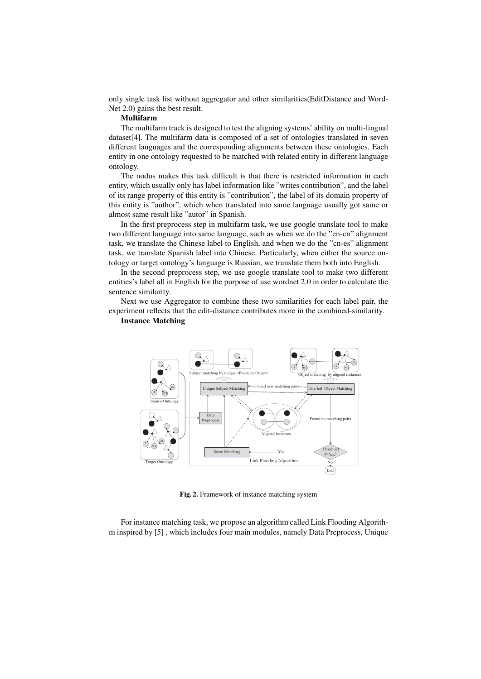only single task list without aggregator and other similarities(EditDistance and Word-Net 2.0) gains the best result.

## Multifarm

The multifarm track is designed to test the aligning systems' ability on multi-lingual dataset[4]. The multifarm data is composed of a set of ontologies translated in seven different languages and the corresponding alignments between these ontologies. Each entity in one ontology requested to be matched with related entity in different language ontology.

The nodus makes this task difficult is that there is restricted information in each entity, which usually only has label information like "writes contribution", and the label of its range property of this entity is "contribution", the label of its domain property of this entity is "author", which when translated into same language usually got same or almost same result like "autor" in Spanish.

In the first preprocess step in multifarm task, we use google translate tool to make two different language into same language, such as when we do the "en-cn" alignment task, we translate the Chinese label to English, and when we do the "cn-es" alignment task, we translate Spanish label into Chinese. Particularly, when either the source ontology or target ontology's language is Russian, we translate them both into English.

In the second preprocess step, we use google translate tool to make two different entities's label all in English for the purpose of use wordnet 2.0 in order to calculate the sentence similarity.

Next we use Aggregator to combine these two similarities for each label pair, the experiment reflects that the edit-distance contributes more in the combined-similarity. Instance Matching



Fig. 2. Framework of instance matching system

For instance matching task, we propose an algorithm called Link Flooding Algorithm inspired by [5] , which includes four main modules, namely Data Preprocess, Unique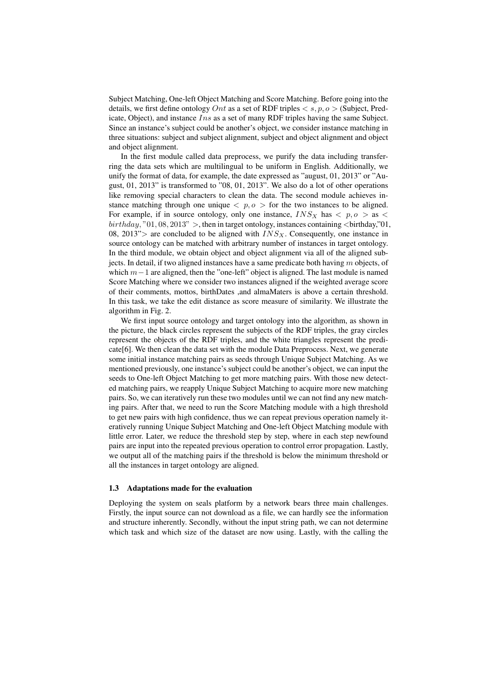Subject Matching, One-left Object Matching and Score Matching. Before going into the details, we first define ontology *Ont* as a set of RDF triples *< s, p, o >* (Subject, Predicate, Object), and instance *Ins* as a set of many RDF triples having the same Subject. Since an instance's subject could be another's object, we consider instance matching in three situations: subject and subject alignment, subject and object alignment and object and object alignment.

In the first module called data preprocess, we purify the data including transferring the data sets which are multilingual to be uniform in English. Additionally, we unify the format of data, for example, the date expressed as "august, 01, 2013" or "August, 01, 2013" is transformed to "08, 01, 2013". We also do a lot of other operations like removing special characters to clean the data. The second module achieves instance matching through one unique  $\langle p, o \rangle$  for the two instances to be aligned. For example, if in source ontology, only one instance,  $INS_X$  has  $\langle p, o \rangle$  as  $\langle$ *birthday,* "01*,* 08*,* 2013" *>*, then in target ontology, instances containing *<*birthday,"01, 08, 2013"> are concluded to be aligned with  $INS_{X}$ . Consequently, one instance in source ontology can be matched with arbitrary number of instances in target ontology. In the third module, we obtain object and object alignment via all of the aligned subjects. In detail, if two aligned instances have a same predicate both having *m* objects, of which *m* − 1 are aligned, then the "one-left" object is aligned. The last module is named Score Matching where we consider two instances aligned if the weighted average score of their comments, mottos, birthDates ,and almaMaters is above a certain threshold. In this task, we take the edit distance as score measure of similarity. We illustrate the algorithm in Fig. 2.

We first input source ontology and target ontology into the algorithm, as shown in the picture, the black circles represent the subjects of the RDF triples, the gray circles represent the objects of the RDF triples, and the white triangles represent the predicate[6]. We then clean the data set with the module Data Preprocess. Next, we generate some initial instance matching pairs as seeds through Unique Subject Matching. As we mentioned previously, one instance's subject could be another's object, we can input the seeds to One-left Object Matching to get more matching pairs. With those new detected matching pairs, we reapply Unique Subject Matching to acquire more new matching pairs. So, we can iteratively run these two modules until we can not find any new matching pairs. After that, we need to run the Score Matching module with a high threshold to get new pairs with high confidence, thus we can repeat previous operation namely iteratively running Unique Subject Matching and One-left Object Matching module with little error. Later, we reduce the threshold step by step, where in each step newfound pairs are input into the repeated previous operation to control error propagation. Lastly, we output all of the matching pairs if the threshold is below the minimum threshold or all the instances in target ontology are aligned.

#### 1.3 Adaptations made for the evaluation

Deploying the system on seals platform by a network bears three main challenges. Firstly, the input source can not download as a file, we can hardly see the information and structure inherently. Secondly, without the input string path, we can not determine which task and which size of the dataset are now using. Lastly, with the calling the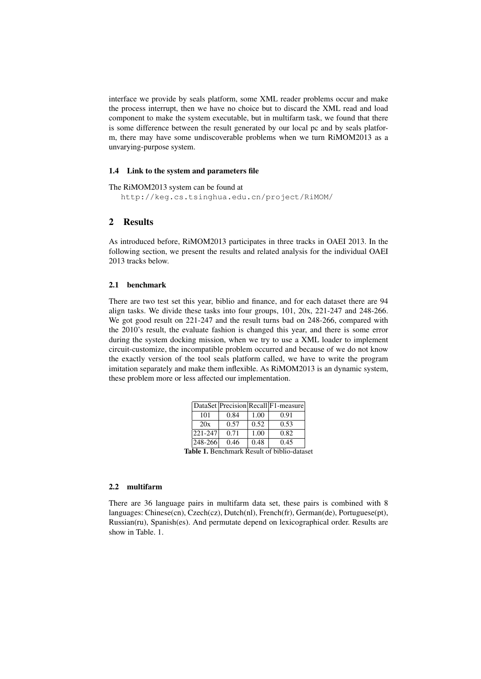interface we provide by seals platform, some XML reader problems occur and make the process interrupt, then we have no choice but to discard the XML read and load component to make the system executable, but in multifarm task, we found that there is some difference between the result generated by our local pc and by seals platform, there may have some undiscoverable problems when we turn RiMOM2013 as a unvarying-purpose system.

#### 1.4 Link to the system and parameters file

#### The RiMOM2013 system can be found at

http://keg.cs.tsinghua.edu.cn/project/RiMOM/

## 2 Results

As introduced before, RiMOM2013 participates in three tracks in OAEI 2013. In the following section, we present the results and related analysis for the individual OAEI 2013 tracks below.

#### 2.1 benchmark

There are two test set this year, biblio and finance, and for each dataset there are 94 align tasks. We divide these tasks into four groups, 101, 20x, 221-247 and 248-266. We got good result on 221-247 and the result turns bad on 248-266, compared with the 2010's result, the evaluate fashion is changed this year, and there is some error during the system docking mission, when we try to use a XML loader to implement circuit-customize, the incompatible problem occurred and because of we do not know the exactly version of the tool seals platform called, we have to write the program imitation separately and make them inflexible. As RiMOM2013 is an dynamic system, these problem more or less affected our implementation.

|                                                    |      |      | DataSet Precision Recall F1-measure |  |  |  |  |  |
|----------------------------------------------------|------|------|-------------------------------------|--|--|--|--|--|
| 101                                                | 0.84 | 1.00 | 0.91                                |  |  |  |  |  |
| 20x                                                | 0.57 | 0.52 | 0.53                                |  |  |  |  |  |
| 221-247                                            | 0.71 | 1.00 | 0.82                                |  |  |  |  |  |
| $ 248 - 266 $                                      | 0.46 | 0.48 | 0.45                                |  |  |  |  |  |
| <b>Table 1.</b> Benchmark Result of biblio-dataset |      |      |                                     |  |  |  |  |  |

#### 2.2 multifarm

There are 36 language pairs in multifarm data set, these pairs is combined with 8 languages: Chinese(cn), Czech(cz), Dutch(nl), French(fr), German(de), Portuguese(pt), Russian(ru), Spanish(es). And permutate depend on lexicographical order. Results are show in Table. 1.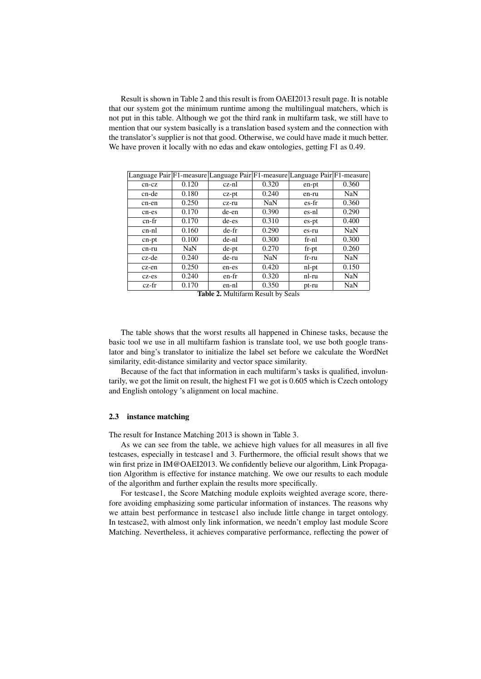Result is shown in Table 2 and this result is from OAEI2013 result page. It is notable that our system got the minimum runtime among the multilingual matchers, which is not put in this table. Although we got the third rank in multifarm task, we still have to mention that our system basically is a translation based system and the connection with the translator's supplier is not that good. Otherwise, we could have made it much better. We have proven it locally with no edas and ekaw ontologies, getting F1 as 0.49.

|         |       | Language Pair F1-measure Language Pair F1-measure Language Pair F1-measure |            |          |       |
|---------|-------|----------------------------------------------------------------------------|------------|----------|-------|
| $cn-cz$ | 0.120 | cz-nl                                                                      | 0.320      | en-pt    | 0.360 |
| cn-de   | 0.180 | $cz$ - $pt$                                                                | 0.240      | en-ru    | NaN   |
| cn-en   | 0.250 | cz-ru                                                                      | <b>NaN</b> | es-fr    | 0.360 |
| cn-es   | 0.170 | de-en                                                                      | 0.390      | es-nl    | 0.290 |
| cn-fr   | 0.170 | de-es                                                                      | 0.310      | es-pt    | 0.400 |
| cn-nl   | 0.160 | de-fr                                                                      | 0.290      | es-ru    | NaN   |
| cn-pt   | 0.100 | de-nl                                                                      | 0.300      | fr-nl    | 0.300 |
| cn-ru   | NaN   | de-pt                                                                      | 0.270      | $fr$ -pt | 0.260 |
| cz-de   | 0.240 | de-ru                                                                      | NaN        | fr-ru    | NaN   |
| cz-en   | 0.250 | en-es                                                                      | 0.420      | nl-pt    | 0.150 |
| cz-es   | 0.240 | en-fr                                                                      | 0.320      | nl-ru    | NaN   |
| cz-fr   | 0.170 | en-nl                                                                      | 0.350      | pt-ru    | NaN   |

Table 2. Multifarm Result by Seals

The table shows that the worst results all happened in Chinese tasks, because the basic tool we use in all multifarm fashion is translate tool, we use both google translator and bing's translator to initialize the label set before we calculate the WordNet similarity, edit-distance similarity and vector space similarity.

Because of the fact that information in each multifarm's tasks is qualified, involuntarily, we got the limit on result, the highest F1 we got is 0.605 which is Czech ontology and English ontology 's alignment on local machine.

#### 2.3 instance matching

The result for Instance Matching 2013 is shown in Table 3.

As we can see from the table, we achieve high values for all measures in all five testcases, especially in testcase1 and 3. Furthermore, the official result shows that we win first prize in IM@OAEI2013. We confidently believe our algorithm, Link Propagation Algorithm is effective for instance matching. We owe our results to each module of the algorithm and further explain the results more specifically.

For testcase1, the Score Matching module exploits weighted average score, therefore avoiding emphasizing some particular information of instances. The reasons why we attain best performance in testcase1 also include little change in target ontology. In testcase2, with almost only link information, we needn't employ last module Score Matching. Nevertheless, it achieves comparative performance, reflecting the power of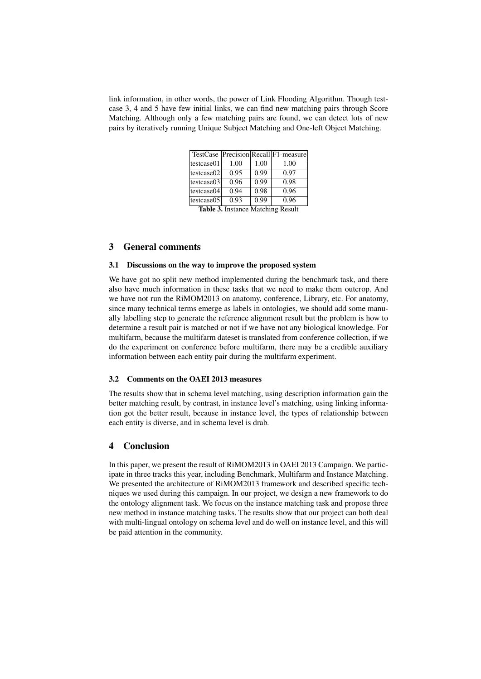link information, in other words, the power of Link Flooding Algorithm. Though testcase 3, 4 and 5 have few initial links, we can find new matching pairs through Score Matching. Although only a few matching pairs are found, we can detect lots of new pairs by iteratively running Unique Subject Matching and One-left Object Matching.

|                                   |      |      | TestCase Precision Recall F1-measure |  |  |  |  |
|-----------------------------------|------|------|--------------------------------------|--|--|--|--|
| testcase01                        | 1.00 | 1.00 | 1.00                                 |  |  |  |  |
| testcase02                        | 0.95 | 0.99 | 0.97                                 |  |  |  |  |
| testcase03                        | 0.96 | 0.99 | 0.98                                 |  |  |  |  |
| testcase04                        | 0.94 | 0.98 | 0.96                                 |  |  |  |  |
| testcase05                        | 0.93 | 0.99 | 0.96                                 |  |  |  |  |
| Toble 2. Instance Metabing Desult |      |      |                                      |  |  |  |  |

Table 3. Instance Matching Result

## 3 General comments

#### 3.1 Discussions on the way to improve the proposed system

We have got no split new method implemented during the benchmark task, and there also have much information in these tasks that we need to make them outcrop. And we have not run the RiMOM2013 on anatomy, conference, Library, etc. For anatomy, since many technical terms emerge as labels in ontologies, we should add some manually labelling step to generate the reference alignment result but the problem is how to determine a result pair is matched or not if we have not any biological knowledge. For multifarm, because the multifarm dateset is translated from conference collection, if we do the experiment on conference before multifarm, there may be a credible auxiliary information between each entity pair during the multifarm experiment.

## 3.2 Comments on the OAEI 2013 measures

The results show that in schema level matching, using description information gain the better matching result, by contrast, in instance level's matching, using linking information got the better result, because in instance level, the types of relationship between each entity is diverse, and in schema level is drab.

## 4 Conclusion

In this paper, we present the result of RiMOM2013 in OAEI 2013 Campaign. We participate in three tracks this year, including Benchmark, Multifarm and Instance Matching. We presented the architecture of RiMOM2013 framework and described specific techniques we used during this campaign. In our project, we design a new framework to do the ontology alignment task. We focus on the instance matching task and propose three new method in instance matching tasks. The results show that our project can both deal with multi-lingual ontology on schema level and do well on instance level, and this will be paid attention in the community.